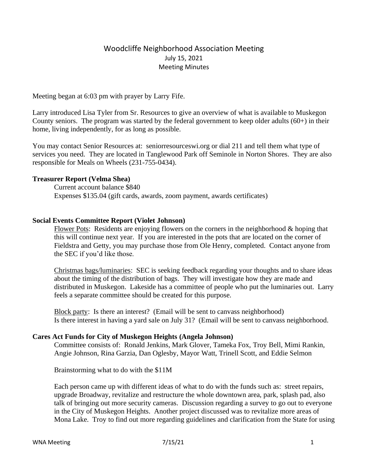# Woodcliffe Neighborhood Association Meeting July 15, 2021 Meeting Minutes

Meeting began at 6:03 pm with prayer by Larry Fife.

Larry introduced Lisa Tyler from Sr. Resources to give an overview of what is available to Muskegon County seniors. The program was started by the federal government to keep older adults  $(60+)$  in their home, living independently, for as long as possible.

You may contact Senior Resources at: seniorresourceswi.org or dial 211 and tell them what type of services you need. They are located in Tanglewood Park off Seminole in Norton Shores. They are also responsible for Meals on Wheels (231-755-0434).

# **Treasurer Report (Velma Shea)**

Current account balance \$840 Expenses \$135.04 (gift cards, awards, zoom payment, awards certificates)

# **Social Events Committee Report (Violet Johnson)**

Flower Pots: Residents are enjoying flowers on the corners in the neighborhood  $\&$  hoping that this will continue next year. If you are interested in the pots that are located on the corner of Fieldstra and Getty, you may purchase those from Ole Henry, completed. Contact anyone from the SEC if you'd like those.

Christmas bags/luminaries: SEC is seeking feedback regarding your thoughts and to share ideas about the timing of the distribution of bags. They will investigate how they are made and distributed in Muskegon. Lakeside has a committee of people who put the luminaries out. Larry feels a separate committee should be created for this purpose.

Block party: Is there an interest? (Email will be sent to canvass neighborhood) Is there interest in having a yard sale on July 31? (Email will be sent to canvass neighborhood.

### **Cares Act Funds for City of Muskegon Heights (Angela Johnson)**

Committee consists of: Ronald Jenkins, Mark Glover, Tameka Fox, Troy Bell, Mimi Rankin, Angie Johnson, Rina Garzia, Dan Oglesby, Mayor Watt, Trinell Scott, and Eddie Selmon

Brainstorming what to do with the \$11M

Each person came up with different ideas of what to do with the funds such as: street repairs, upgrade Broadway, revitalize and restructure the whole downtown area, park, splash pad, also talk of bringing out more security cameras. Discussion regarding a survey to go out to everyone in the City of Muskegon Heights. Another project discussed was to revitalize more areas of Mona Lake. Troy to find out more regarding guidelines and clarification from the State for using